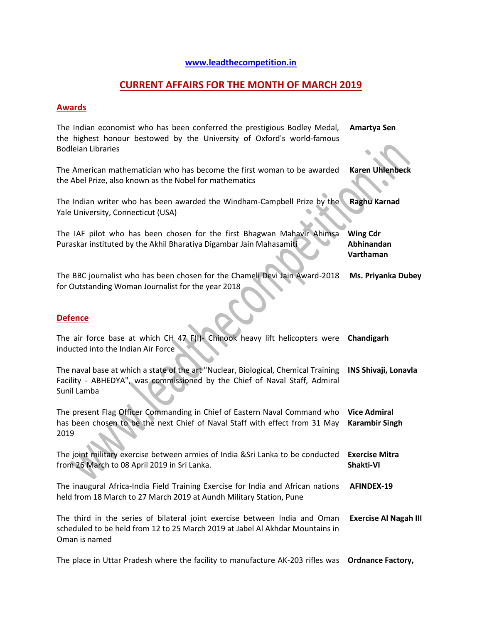## **[www.leadthecompetition.in](http://www.leadthecompetition.in/)**

# **CURRENT AFFAIRS FOR THE MONTH OF MARCH 2019**

### **Awards**

| The Indian economist who has been conferred the prestigious Bodley Medal,<br>the highest honour bestowed by the University of Oxford's world-famous<br><b>Bodleian Libraries</b> | Amartya Sen                                  |
|----------------------------------------------------------------------------------------------------------------------------------------------------------------------------------|----------------------------------------------|
| The American mathematician who has become the first woman to be awarded<br>the Abel Prize, also known as the Nobel for mathematics                                               | <b>Karen Uhlenbeck</b>                       |
| The Indian writer who has been awarded the Windham-Campbell Prize by the<br>Yale University, Connecticut (USA)                                                                   | <b>Raghu Karnad</b>                          |
| The IAF pilot who has been chosen for the first Bhagwan Mahavir Ahimsa<br>Puraskar instituted by the Akhil Bharatiya Digambar Jain Mahasamiti                                    | <b>Wing Cdr</b><br>Abhinandan<br>Varthaman   |
| The BBC journalist who has been chosen for the Chameli Devi Jain Award-2018<br>for Outstanding Woman Journalist for the year 2018                                                | Ms. Priyanka Dubey                           |
| <b>Defence</b>                                                                                                                                                                   |                                              |
| The air force base at which CH 47 F(I). Chinook heavy lift helicopters were<br>inducted into the Indian Air Force                                                                | Chandigarh                                   |
| The naval base at which a state of the art "Nuclear, Biological, Chemical Training<br>Facility - ABHEDYA", was commissioned by the Chief of Naval Staff, Admiral<br>Sunil Lamba  | <b>INS Shivaji, Lonavla</b>                  |
| The present Flag Officer Commanding in Chief of Eastern Naval Command who<br>has been chosen to be the next Chief of Naval Staff with effect from 31 May<br>2019                 | <b>Vice Admiral</b><br><b>Karambir Singh</b> |
| The joint military exercise between armies of India & Sri Lanka to be conducted<br>from 26 March to 08 April 2019 in Sri Lanka.                                                  | <b>Exercise Mitra</b><br>Shakti-VI           |
| The inaugural Africa-India Field Training Exercise for India and African nations<br>held from 18 March to 27 March 2019 at Aundh Military Station, Pune                          | <b>AFINDEX-19</b>                            |
| The third in the series of bilateral joint exercise between India and Oman<br>scheduled to be held from 12 to 25 March 2019 at Jabel Al Akhdar Mountains in<br>Oman is named     | <b>Exercise Al Nagah III</b>                 |

The place in Uttar Pradesh where the facility to manufacture AK-203 rifles was **Ordnance Factory,**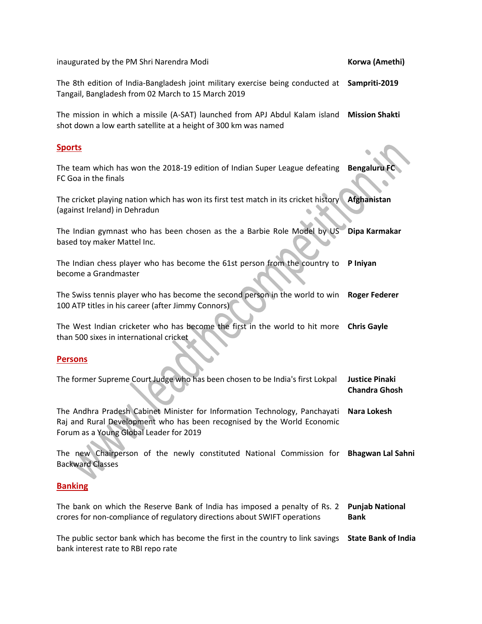inaugurated by the PM Shri Narendra Modi **Korwa (Amethi) Korwa (Amethi)** 

The 8th edition of India-Bangladesh joint military exercise being conducted at **Sampriti-2019** Tangail, Bangladesh from 02 March to 15 March 2019

The mission in which a missile (A-SAT) launched from APJ Abdul Kalam island **Mission Shakti** shot down a low earth satellite at a height of 300 km was named

#### **Sports**

The team which has won the 2018-19 edition of Indian Super League defeating FC Goa in the finals **Bengaluru** 

The cricket playing nation which has won its first test match in its cricket history (against Ireland) in Dehradun **Afghanistan**

The Indian gymnast who has been chosen as the a Barbie Role Model by US based toy maker Mattel Inc. **Dipa Karmakar**

The Indian chess player who has become the 61st person from the country to **P Iniyan** become a Grandmaster

The Swiss tennis player who has become the second person in the world to win **Roger Federer** 100 ATP titles in his career (after Jimmy Connors)

The West Indian cricketer who has become the first in the world to hit more **Chris Gayle** than 500 sixes in international cricket

#### **Persons**

| The former Supreme Court Judge who has been chosen to be India's first Lokpal          | Justice Pinaki<br><b>Chandra Ghosh</b> |
|----------------------------------------------------------------------------------------|----------------------------------------|
| The Andhra Pradesh Cabinet Minister for Information Technology, Panchayati Nara Lokesh |                                        |
| Raj and Rural Development who has been recognised by the World Economic                |                                        |
| Forum as a Young Global Leader for 2019                                                |                                        |

The new Chairperson of the newly constituted National Commission for **Bhagwan Lal Sahni** Backward Classes

#### **Banking**

The bank on which the Reserve Bank of India has imposed a penalty of Rs. 2 **Punjab National**  crores for non-compliance of regulatory directions about SWIFT operations **Bank**

The public sector bank which has become the first in the country to link savings **State Bank of India**bank interest rate to RBI repo rate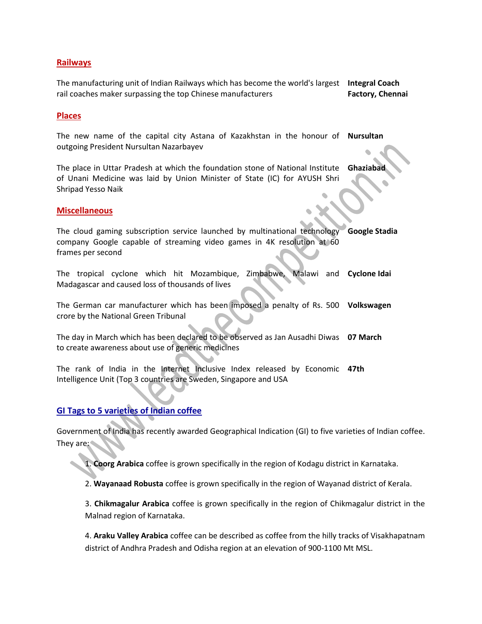#### **Railways**

The manufacturing unit of Indian Railways which has become the world's largest **Integral Coach**  rail coaches maker surpassing the top Chinese manufacturers **Factory, Chennai**

#### **Places**

The new name of the capital city Astana of Kazakhstan in the honour of **Nursultan** outgoing President Nursultan Nazarbayev

The place in Uttar Pradesh at which the foundation stone of National Institute of Unani Medicine was laid by Union Minister of State (IC) for AYUSH Shri Shripad Yesso Naik **Ghaziabad**

#### **Miscellaneous**

The cloud gaming subscription service launched by multinational technology company Google capable of streaming video games in 4K resolution at 60 frames per second **Google Stadia**

The tropical cyclone which hit Mozambique, Zimbabwe, Madagascar and caused loss of thousands of lives **Cyclone Idai**

The German car manufacturer which has been imposed a penalty of Rs. 500 **Volkswagen** crore by the National Green Tribunal

The day in March which has been declared to be observed as Jan Ausadhi Diwas **07 March**  to create awareness about use of generic medicines

The rank of India in the Internet Inclusive Index released by Economic **47th**  Intelligence Unit (Top 3 countries are Sweden, Singapore and USA

#### **GI Tags to 5 varieties of Indian coffee**

Government of India has recently awarded Geographical Indication (GI) to five varieties of Indian coffee. They are:

1. **Coorg Arabica** coffee is grown specifically in the region of Kodagu district in Karnataka.

2. **Wayanaad Robusta** coffee is grown specifically in the region of Wayanad district of Kerala.

3. **Chikmagalur Arabica** coffee is grown specifically in the region of Chikmagalur district in the Malnad region of Karnataka.

4. **Araku Valley Arabica** coffee can be described as coffee from the hilly tracks of Visakhapatnam district of Andhra Pradesh and Odisha region at an elevation of 900-1100 Mt MSL.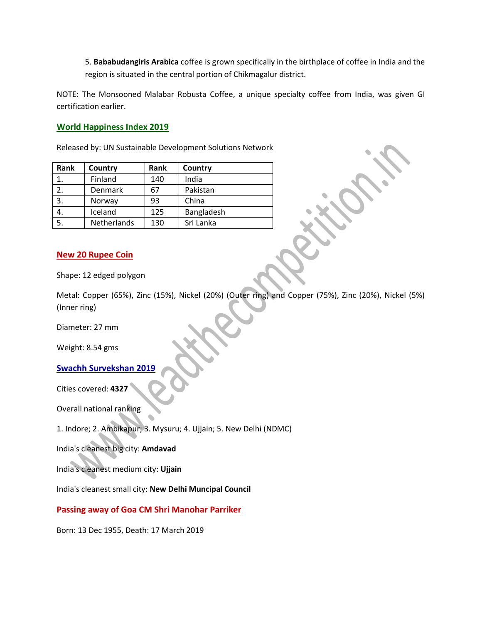5. **Bababudangiris Arabica** coffee is grown specifically in the birthplace of coffee in India and the region is situated in the central portion of Chikmagalur district.

NOTE: The Monsooned Malabar Robusta Coffee, a unique specialty coffee from India, was given GI certification earlier.

#### **World Happiness Index 2019**

Released by: UN Sustainable Development Solutions Network

| Rank | Country     | Rank | Country    |
|------|-------------|------|------------|
| 1.   | Finland     | 140  | India      |
| 2.   | Denmark     | 67   | Pakistan   |
| 3.   | Norway      | 93   | China      |
| 4.   | Iceland     | 125  | Bangladesh |
| 5.   | Netherlands | 130  | Sri Lanka  |

#### **New 20 Rupee Coin**

Shape: 12 edged polygon

Metal: Copper (65%), Zinc (15%), Nickel (20%) (Outer ring) and Copper (75%), Zinc (20%), Nickel (5%) (Inner ring)

Diameter: 27 mm

Weight: 8.54 gms

#### **Swachh Survekshan 2019**

Cities covered: **4327**

Overall national ranking

1. Indore; 2. Ambikapur; 3. Mysuru; 4. Ujjain; 5. New Delhi (NDMC)

India's cleanest big city: **Amdavad**

India's cleanest medium city: **Ujjain**

India's cleanest small city: **New Delhi Muncipal Council**

**Passing away of Goa CM Shri Manohar Parriker**

Born: 13 Dec 1955, Death: 17 March 2019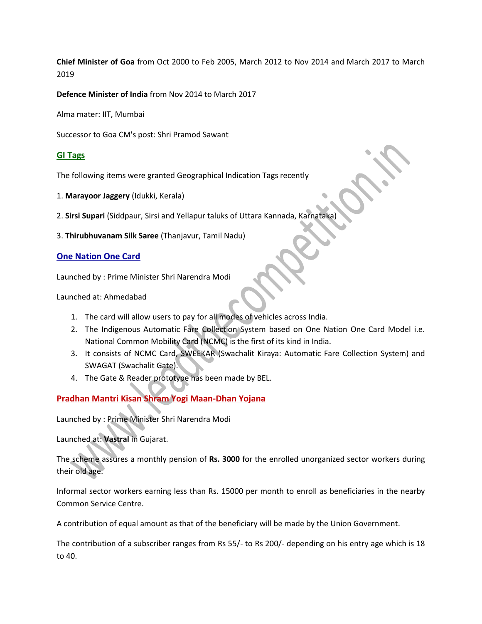**Chief Minister of Goa** from Oct 2000 to Feb 2005, March 2012 to Nov 2014 and March 2017 to March 2019

**Defence Minister of India** from Nov 2014 to March 2017

Alma mater: IIT, Mumbai

Successor to Goa CM's post: Shri Pramod Sawant

#### **GI Tags**

The following items were granted Geographical Indication Tags recently

- 1. **Marayoor Jaggery** (Idukki, Kerala)
- 2. **Sirsi Supari** (Siddpaur, Sirsi and Yellapur taluks of Uttara Kannada, Karnataka)
- 3. **Thirubhuvanam Silk Saree** (Thanjavur, Tamil Nadu)

#### **One Nation One Card**

Launched by : Prime Minister Shri Narendra Modi

Launched at: Ahmedabad

- 1. The card will allow users to pay for all modes of vehicles across India.
- 2. The Indigenous Automatic Fare Collection System based on One Nation One Card Model i.e. National Common Mobility Card (NCMC) is the first of its kind in India.
- 3. It consists of NCMC Card, SWEEKAR (Swachalit Kiraya: Automatic Fare Collection System) and SWAGAT (Swachalit Gate).
- 4. The Gate & Reader prototype has been made by BEL.

## **Pradhan Mantri Kisan Shram Yogi Maan-Dhan Yojana**

Launched by : Prime Minister Shri Narendra Modi

Launched at: **Vastral** in Gujarat.

The scheme assures a monthly pension of **Rs. 3000** for the enrolled unorganized sector workers during their old age.

Informal sector workers earning less than Rs. 15000 per month to enroll as beneficiaries in the nearby Common Service Centre.

A contribution of equal amount as that of the beneficiary will be made by the Union Government.

The contribution of a subscriber ranges from Rs 55/- to Rs 200/- depending on his entry age which is 18 to 40.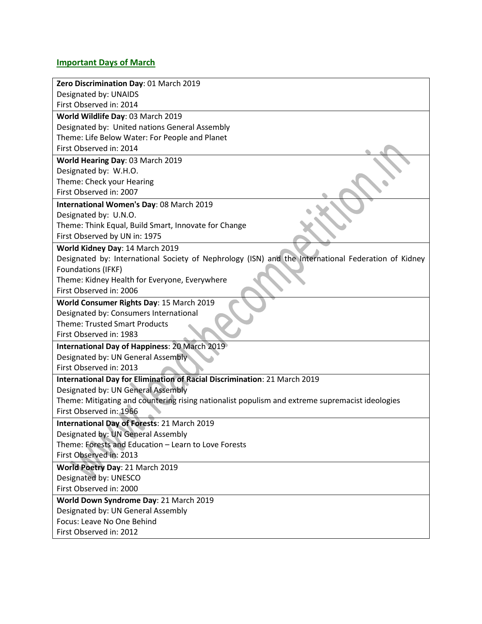## **Important Days of March**

| Zero Discrimination Day: 01 March 2019                                                              |
|-----------------------------------------------------------------------------------------------------|
| Designated by: UNAIDS                                                                               |
| First Observed in: 2014                                                                             |
| World Wildlife Day: 03 March 2019                                                                   |
| Designated by: United nations General Assembly                                                      |
| Theme: Life Below Water: For People and Planet                                                      |
| First Observed in: 2014                                                                             |
| World Hearing Day: 03 March 2019                                                                    |
| Designated by: W.H.O.                                                                               |
| Theme: Check your Hearing                                                                           |
| First Observed in: 2007                                                                             |
| International Women's Day: 08 March 2019                                                            |
| Designated by: U.N.O.                                                                               |
| Theme: Think Equal, Build Smart, Innovate for Change                                                |
| First Observed by UN in: 1975                                                                       |
| World Kidney Day: 14 March 2019                                                                     |
| Designated by: International Society of Nephrology (ISN) and the International Federation of Kidney |
| Foundations (IFKF)                                                                                  |
| Theme: Kidney Health for Everyone, Everywhere                                                       |
| First Observed in: 2006                                                                             |
| World Consumer Rights Day: 15 March 2019                                                            |
| Designated by: Consumers International                                                              |
| <b>Theme: Trusted Smart Products</b>                                                                |
| First Observed in: 1983                                                                             |
| International Day of Happiness: 20 March 2019                                                       |
| Designated by: UN General Assembly                                                                  |
| First Observed in: 2013                                                                             |
| International Day for Elimination of Racial Discrimination: 21 March 2019                           |
| Designated by: UN General Assembly                                                                  |
| Theme: Mitigating and countering rising nationalist populism and extreme supremacist ideologies     |
| First Observed in: 1966                                                                             |
| International Day of Forests: 21 March 2019                                                         |
| Designated by: UN General Assembly                                                                  |
| Theme: Forests and Education - Learn to Love Forests                                                |
| First Observed in: 2013                                                                             |
| World Poetry Day: 21 March 2019                                                                     |
| Designated by: UNESCO                                                                               |
| First Observed in: 2000                                                                             |
| World Down Syndrome Day: 21 March 2019                                                              |
| Designated by: UN General Assembly                                                                  |
| Focus: Leave No One Behind                                                                          |
| First Observed in: 2012                                                                             |